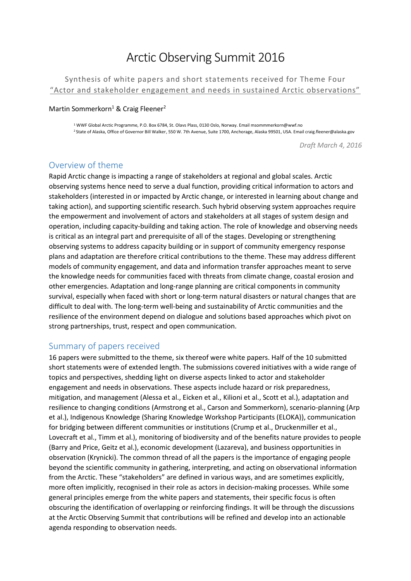# Arctic Observing Summit 2016

Synthesis of white papers and short statements received for Theme Four "Actor and stakeholder engagement and needs in sustained Arctic observations"

#### Martin Sommerkorn<sup>1</sup> & Craig Fleener<sup>2</sup>

1 WWF Global Arctic Programme, P.O. Box 6784, St. Olavs Plass, 0130 Oslo, Norway. Email msommmerkorn@wwf.no <sup>2</sup>State of Alaska, Office of Governor Bill Walker, 550 W. 7th Avenue, Suite 1700, Anchorage, Alaska 99501, USA. Email craig.fleener@alaska.gov

*Draft March 4, 2016* 

### Overview of theme

Rapid Arctic change is impacting a range of stakeholders at regional and global scales. Arctic observing systems hence need to serve a dual function, providing critical information to actors and stakeholders (interested in or impacted by Arctic change, or interested in learning about change and taking action), and supporting scientific research. Such hybrid observing system approaches require the empowerment and involvement of actors and stakeholders at all stages of system design and operation, including capacity‐building and taking action. The role of knowledge and observing needs is critical as an integral part and prerequisite of all of the stages. Developing or strengthening observing systems to address capacity building or in support of community emergency response plans and adaptation are therefore critical contributions to the theme. These may address different models of community engagement, and data and information transfer approaches meant to serve the knowledge needs for communities faced with threats from climate change, coastal erosion and other emergencies. Adaptation and long‐range planning are critical components in community survival, especially when faced with short or long-term natural disasters or natural changes that are difficult to deal with. The long‐term well‐being and sustainability of Arctic communities and the resilience of the environment depend on dialogue and solutions based approaches which pivot on strong partnerships, trust, respect and open communication.

### Summary of papers received

16 papers were submitted to the theme, six thereof were white papers. Half of the 10 submitted short statements were of extended length. The submissions covered initiatives with a wide range of topics and perspectives, shedding light on diverse aspects linked to actor and stakeholder engagement and needs in observations. These aspects include hazard or risk preparedness, mitigation, and management (Alessa et al., Eicken et al., Kilioni et al., Scott et al.), adaptation and resilience to changing conditions (Armstrong et al., Carson and Sommerkorn), scenario-planning (Arp et al.), Indigenous Knowledge (Sharing Knowledge Workshop Participants (ELOKA)), communication for bridging between different communities or institutions (Crump et al., Druckenmiller et al., Lovecraft et al., Timm et al.), monitoring of biodiversity and of the benefits nature provides to people (Barry and Price, Geitz et al.), economic development (Lazareva), and business opportunities in observation (Krynicki). The common thread of all the papers is the importance of engaging people beyond the scientific community in gathering, interpreting, and acting on observational information from the Arctic. These "stakeholders" are defined in various ways, and are sometimes explicitly, more often implicitly, recognised in their role as actors in decision-making processes. While some general principles emerge from the white papers and statements, their specific focus is often obscuring the identification of overlapping or reinforcing findings. It will be through the discussions at the Arctic Observing Summit that contributions will be refined and develop into an actionable agenda responding to observation needs.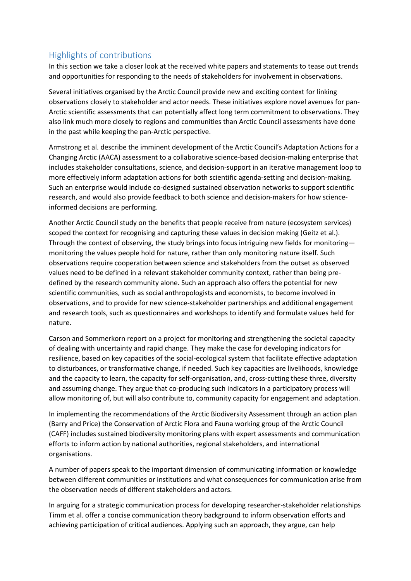# Highlights of contributions

In this section we take a closer look at the received white papers and statements to tease out trends and opportunities for responding to the needs of stakeholders for involvement in observations.

Several initiatives organised by the Arctic Council provide new and exciting context for linking observations closely to stakeholder and actor needs. These initiatives explore novel avenues for pan-Arctic scientific assessments that can potentially affect long term commitment to observations. They also link much more closely to regions and communities than Arctic Council assessments have done in the past while keeping the pan-Arctic perspective.

Armstrong et al. describe the imminent development of the Arctic Council's Adaptation Actions for a Changing Arctic (AACA) assessment to a collaborative science-based decision-making enterprise that includes stakeholder consultations, science, and decision-support in an iterative management loop to more effectively inform adaptation actions for both scientific agenda-setting and decision-making. Such an enterprise would include co-designed sustained observation networks to support scientific research, and would also provide feedback to both science and decision-makers for how scienceinformed decisions are performing.

Another Arctic Council study on the benefits that people receive from nature (ecosystem services) scoped the context for recognising and capturing these values in decision making (Geitz et al.). Through the context of observing, the study brings into focus intriguing new fields for monitoring monitoring the values people hold for nature, rather than only monitoring nature itself. Such observations require cooperation between science and stakeholders from the outset as observed values need to be defined in a relevant stakeholder community context, rather than being predefined by the research community alone. Such an approach also offers the potential for new scientific communities, such as social anthropologists and economists, to become involved in observations, and to provide for new science-stakeholder partnerships and additional engagement and research tools, such as questionnaires and workshops to identify and formulate values held for nature.

Carson and Sommerkorn report on a project for monitoring and strengthening the societal capacity of dealing with uncertainty and rapid change. They make the case for developing indicators for resilience, based on key capacities of the social-ecological system that facilitate effective adaptation to disturbances, or transformative change, if needed. Such key capacities are livelihoods, knowledge and the capacity to learn, the capacity for self-organisation, and, cross-cutting these three, diversity and assuming change. They argue that co-producing such indicators in a participatory process will allow monitoring of, but will also contribute to, community capacity for engagement and adaptation.

In implementing the recommendations of the Arctic Biodiversity Assessment through an action plan (Barry and Price) the Conservation of Arctic Flora and Fauna working group of the Arctic Council (CAFF) includes sustained biodiversity monitoring plans with expert assessments and communication efforts to inform action by national authorities, regional stakeholders, and international organisations.

A number of papers speak to the important dimension of communicating information or knowledge between different communities or institutions and what consequences for communication arise from the observation needs of different stakeholders and actors.

In arguing for a strategic communication process for developing researcher-stakeholder relationships Timm et al. offer a concise communication theory background to inform observation efforts and achieving participation of critical audiences. Applying such an approach, they argue, can help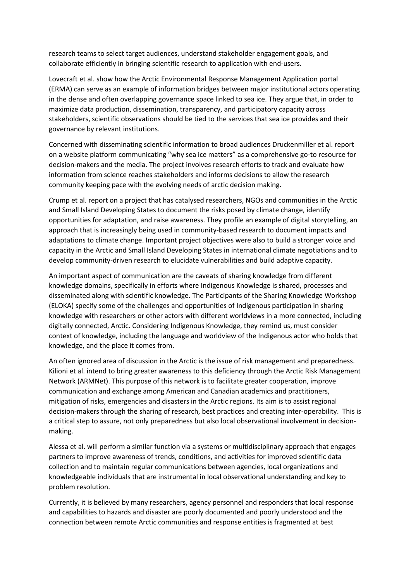research teams to select target audiences, understand stakeholder engagement goals, and collaborate efficiently in bringing scientific research to application with end-users.

Lovecraft et al. show how the Arctic Environmental Response Management Application portal (ERMA) can serve as an example of information bridges between major institutional actors operating in the dense and often overlapping governance space linked to sea ice. They argue that, in order to maximize data production, dissemination, transparency, and participatory capacity across stakeholders, scientific observations should be tied to the services that sea ice provides and their governance by relevant institutions.

Concerned with disseminating scientific information to broad audiences Druckenmiller et al. report on a website platform communicating "why sea ice matters" as a comprehensive go-to resource for decision-makers and the media. The project involves research efforts to track and evaluate how information from science reaches stakeholders and informs decisions to allow the research community keeping pace with the evolving needs of arctic decision making.

Crump et al. report on a project that has catalysed researchers, NGOs and communities in the Arctic and Small Island Developing States to document the risks posed by climate change, identify opportunities for adaptation, and raise awareness. They profile an example of digital storytelling, an approach that is increasingly being used in community-based research to document impacts and adaptations to climate change. Important project objectives were also to build a stronger voice and capacity in the Arctic and Small Island Developing States in international climate negotiations and to develop community-driven research to elucidate vulnerabilities and build adaptive capacity.

An important aspect of communication are the caveats of sharing knowledge from different knowledge domains, specifically in efforts where Indigenous Knowledge is shared, processes and disseminated along with scientific knowledge. The Participants of the Sharing Knowledge Workshop (ELOKA) specify some of the challenges and opportunities of Indigenous participation in sharing knowledge with researchers or other actors with different worldviews in a more connected, including digitally connected, Arctic. Considering Indigenous Knowledge, they remind us, must consider context of knowledge, including the language and worldview of the Indigenous actor who holds that knowledge, and the place it comes from.

An often ignored area of discussion in the Arctic is the issue of risk management and preparedness. Kilioni et al. intend to bring greater awareness to this deficiency through the Arctic Risk Management Network (ARMNet). This purpose of this network is to facilitate greater cooperation, improve communication and exchange among American and Canadian academics and practitioners, mitigation of risks, emergencies and disasters in the Arctic regions. Its aim is to assist regional decision-makers through the sharing of research, best practices and creating inter-operability. This is a critical step to assure, not only preparedness but also local observational involvement in decisionmaking.

Alessa et al. will perform a similar function via a systems or multidisciplinary approach that engages partners to improve awareness of trends, conditions, and activities for improved scientific data collection and to maintain regular communications between agencies, local organizations and knowledgeable individuals that are instrumental in local observational understanding and key to problem resolution.

Currently, it is believed by many researchers, agency personnel and responders that local response and capabilities to hazards and disaster are poorly documented and poorly understood and the connection between remote Arctic communities and response entities is fragmented at best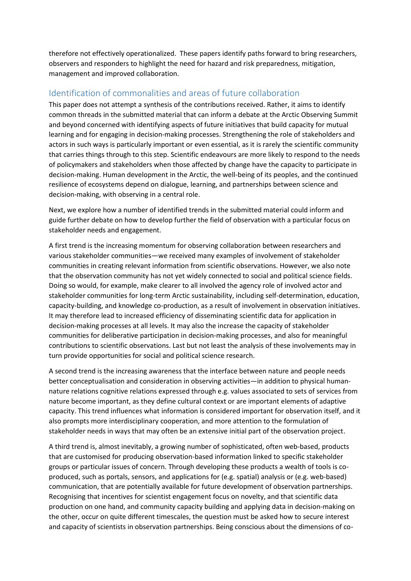therefore not effectively operationalized. These papers identify paths forward to bring researchers, observers and responders to highlight the need for hazard and risk preparedness, mitigation, management and improved collaboration.

# Identification of commonalities and areas of future collaboration

This paper does not attempt a synthesis of the contributions received. Rather, it aims to identify common threads in the submitted material that can inform a debate at the Arctic Observing Summit and beyond concerned with identifying aspects of future initiatives that build capacity for mutual learning and for engaging in decision-making processes. Strengthening the role of stakeholders and actors in such ways is particularly important or even essential, as it is rarely the scientific community that carries things through to this step. Scientific endeavours are more likely to respond to the needs of policymakers and stakeholders when those affected by change have the capacity to participate in decision-making. Human development in the Arctic, the well-being of its peoples, and the continued resilience of ecosystems depend on dialogue, learning, and partnerships between science and decision-making, with observing in a central role.

Next, we explore how a number of identified trends in the submitted material could inform and guide further debate on how to develop further the field of observation with a particular focus on stakeholder needs and engagement.

A first trend is the increasing momentum for observing collaboration between researchers and various stakeholder communities—we received many examples of involvement of stakeholder communities in creating relevant information from scientific observations. However, we also note that the observation community has not yet widely connected to social and political science fields. Doing so would, for example, make clearer to all involved the agency role of involved actor and stakeholder communities for long-term Arctic sustainability, including self-determination, education, capacity-building, and knowledge co-production, as a result of involvement in observation initiatives. It may therefore lead to increased efficiency of disseminating scientific data for application in decision-making processes at all levels. It may also the increase the capacity of stakeholder communities for deliberative participation in decision-making processes, and also for meaningful contributions to scientific observations. Last but not least the analysis of these involvements may in turn provide opportunities for social and political science research.

A second trend is the increasing awareness that the interface between nature and people needs better conceptualisation and consideration in observing activities—in addition to physical humannature relations cognitive relations expressed through e.g. values associated to sets of services from nature become important, as they define cultural context or are important elements of adaptive capacity. This trend influences what information is considered important for observation itself, and it also prompts more interdisciplinary cooperation, and more attention to the formulation of stakeholder needs in ways that may often be an extensive initial part of the observation project.

A third trend is, almost inevitably, a growing number of sophisticated, often web-based, products that are customised for producing observation-based information linked to specific stakeholder groups or particular issues of concern. Through developing these products a wealth of tools is coproduced, such as portals, sensors, and applications for (e.g. spatial) analysis or (e.g. web-based) communication, that are potentially available for future development of observation partnerships. Recognising that incentives for scientist engagement focus on novelty, and that scientific data production on one hand, and community capacity building and applying data in decision-making on the other, occur on quite different timescales, the question must be asked how to secure interest and capacity of scientists in observation partnerships. Being conscious about the dimensions of co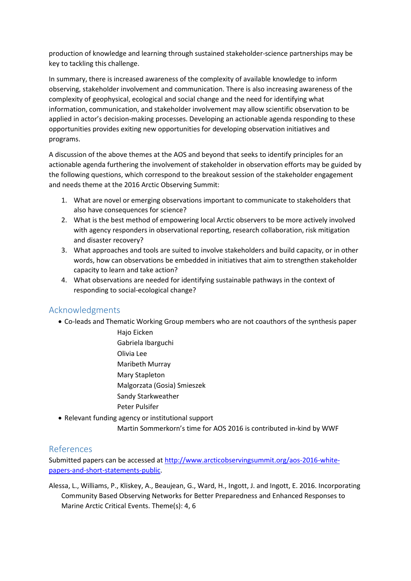production of knowledge and learning through sustained stakeholder-science partnerships may be key to tackling this challenge.

In summary, there is increased awareness of the complexity of available knowledge to inform observing, stakeholder involvement and communication. There is also increasing awareness of the complexity of geophysical, ecological and social change and the need for identifying what information, communication, and stakeholder involvement may allow scientific observation to be applied in actor's decision-making processes. Developing an actionable agenda responding to these opportunities provides exiting new opportunities for developing observation initiatives and programs.

A discussion of the above themes at the AOS and beyond that seeks to identify principles for an actionable agenda furthering the involvement of stakeholder in observation efforts may be guided by the following questions, which correspond to the breakout session of the stakeholder engagement and needs theme at the 2016 Arctic Observing Summit:

- 1. What are novel or emerging observations important to communicate to stakeholders that also have consequences for science?
- 2. What is the best method of empowering local Arctic observers to be more actively involved with agency responders in observational reporting, research collaboration, risk mitigation and disaster recovery?
- 3. What approaches and tools are suited to involve stakeholders and build capacity, or in other words, how can observations be embedded in initiatives that aim to strengthen stakeholder capacity to learn and take action?
- 4. What observations are needed for identifying sustainable pathways in the context of responding to social-ecological change?

# Acknowledgments

- Co-leads and Thematic Working Group members who are not coauthors of the synthesis paper
	- Hajo Eicken Gabriela Ibarguchi Olivia Lee Maribeth Murray Mary Stapleton Malgorzata (Gosia) Smieszek Sandy Starkweather Peter Pulsifer
- Relevant funding agency or institutional support
	- Martin Sommerkorn's time for AOS 2016 is contributed in-kind by WWF

# References

Submitted papers can be accessed a[t http://www.arcticobservingsummit.org/aos-2016-white](http://www.arcticobservingsummit.org/aos-2016-white-papers-and-short-statements-public)[papers-and-short-statements-public.](http://www.arcticobservingsummit.org/aos-2016-white-papers-and-short-statements-public)

Alessa, L., Williams, P., Kliskey, A., Beaujean, G., Ward, H., Ingott, J. and Ingott, E. 2016. Incorporating Community Based Observing Networks for Better Preparedness and Enhanced Responses to Marine Arctic Critical Events. Theme(s): 4, 6